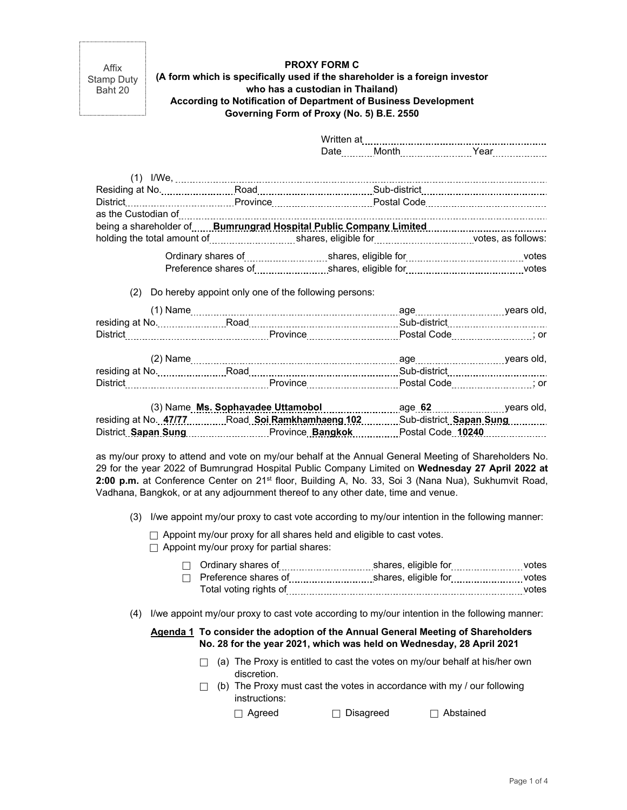Affix Stamp Duty Baht 20

### **PROXY FORM C (A form which is specifically used if the shareholder is a foreign investor who has a custodian in Thailand) According to Notification of Department of Business Development Governing Form of Proxy (No. 5) B.E. 2550**

|                                                          | District ______________________________Province _______________________________Postal Code _________________________                                                                                                           |  |
|----------------------------------------------------------|--------------------------------------------------------------------------------------------------------------------------------------------------------------------------------------------------------------------------------|--|
|                                                          | as the Custodian of <b>continuum continuum continuum continuum continuum continuum continuum continuum</b> continuum                                                                                                           |  |
|                                                          | being a shareholder of <b>Example of Australian Public Company Limited</b> Figures 2011 and the best of the best of the                                                                                                        |  |
|                                                          |                                                                                                                                                                                                                                |  |
|                                                          | Ordinary shares of [[11, 11] shares, eligible for [11] shares, eligible for [11] success and the set of the st                                                                                                                 |  |
|                                                          |                                                                                                                                                                                                                                |  |
|                                                          |                                                                                                                                                                                                                                |  |
| (2) Do hereby appoint only one of the following persons: |                                                                                                                                                                                                                                |  |
|                                                          |                                                                                                                                                                                                                                |  |
|                                                          |                                                                                                                                                                                                                                |  |
|                                                          | District [100] District [100] District [100] District [100] District [100] District [100] District [100] District [100] District [100] District [100] District [100] District [100] District [100] District [100] District [10 |  |
|                                                          |                                                                                                                                                                                                                                |  |
|                                                          |                                                                                                                                                                                                                                |  |
|                                                          |                                                                                                                                                                                                                                |  |
|                                                          | District …………………………………………………Province………………………………Postal Code…………………………………………………………                                                                                                                                              |  |
|                                                          |                                                                                                                                                                                                                                |  |
|                                                          | residing at No. 47/77Road.Soi.Ramkhamhaeng 102Sub-district.Sapan Sung                                                                                                                                                          |  |
|                                                          | District Sapan Sung Manuschen Province Bangkok Manusche Code 10240 Manuschen                                                                                                                                                   |  |

as my/our proxy to attend and vote on my/our behalf at the Annual General Meeting of Shareholders No. 29 for the year 2022 of Bumrungrad Hospital Public Company Limited on **Wednesday 27 April 2022 at**  2:00 p.m. at Conference Center on 21<sup>st</sup> floor, Building A, No. 33, Soi 3 (Nana Nua), Sukhumvit Road, Vadhana, Bangkok, or at any adjournment thereof to any other date, time and venue.

(3) I/we appoint my/our proxy to cast vote according to my/our intention in the following manner:

 $\Box$  Appoint my/our proxy for all shares held and eligible to cast votes.

 $\Box$  Appoint my/our proxy for partial shares:

| $\Box$ Ordinary shares of | shares, eligible for | votes |
|---------------------------|----------------------|-------|
| Preference shares of      | shares, eligible for | votes |
| Total voting rights of    |                      | votes |

(4) I/we appoint my/our proxy to cast vote according to my/our intention in the following manner:

## **Agenda 1 To consider the adoption of the Annual General Meeting of Shareholders No. 28 for the year 2021, which was held on Wednesday, 28 April 2021**

- $\Box$  (a) The Proxy is entitled to cast the votes on my/our behalf at his/her own discretion.
- $\Box$  (b) The Proxy must cast the votes in accordance with my / our following instructions:

□ Agreed □ Disagreed □ Abstained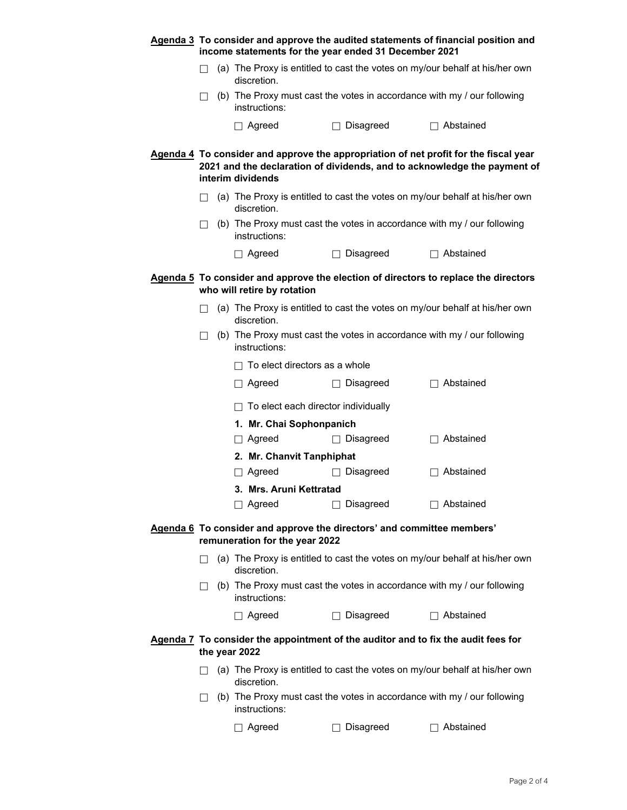|                                                                                                          | Agenda 3 To consider and approve the audited statements of financial position and<br>income statements for the year ended 31 December 2021 |  |                                                                                            |                                                                                   |                                                                                                                                                                  |  |
|----------------------------------------------------------------------------------------------------------|--------------------------------------------------------------------------------------------------------------------------------------------|--|--------------------------------------------------------------------------------------------|-----------------------------------------------------------------------------------|------------------------------------------------------------------------------------------------------------------------------------------------------------------|--|
|                                                                                                          | $\Box$                                                                                                                                     |  | (a) The Proxy is entitled to cast the votes on my/our behalf at his/her own<br>discretion. |                                                                                   |                                                                                                                                                                  |  |
|                                                                                                          | $\Box$                                                                                                                                     |  | (b) The Proxy must cast the votes in accordance with my / our following<br>instructions:   |                                                                                   |                                                                                                                                                                  |  |
|                                                                                                          |                                                                                                                                            |  | $\Box$ Agreed                                                                              | $\Box$ Disagreed                                                                  | $\Box$ Abstained                                                                                                                                                 |  |
|                                                                                                          |                                                                                                                                            |  | interim dividends                                                                          |                                                                                   | Agenda 4 To consider and approve the appropriation of net profit for the fiscal year<br>2021 and the declaration of dividends, and to acknowledge the payment of |  |
|                                                                                                          | $\Box$                                                                                                                                     |  | discretion.                                                                                |                                                                                   | (a) The Proxy is entitled to cast the votes on my/our behalf at his/her own                                                                                      |  |
|                                                                                                          | $\Box$                                                                                                                                     |  | instructions:                                                                              |                                                                                   | (b) The Proxy must cast the votes in accordance with my / our following                                                                                          |  |
|                                                                                                          |                                                                                                                                            |  | $\Box$ Agreed                                                                              | $\Box$ Disagreed                                                                  | $\Box$ Abstained                                                                                                                                                 |  |
|                                                                                                          |                                                                                                                                            |  | who will retire by rotation                                                                |                                                                                   | Agenda 5 To consider and approve the election of directors to replace the directors                                                                              |  |
|                                                                                                          | $\perp$                                                                                                                                    |  | discretion.                                                                                |                                                                                   | (a) The Proxy is entitled to cast the votes on my/our behalf at his/her own                                                                                      |  |
|                                                                                                          | П                                                                                                                                          |  | instructions:                                                                              |                                                                                   | (b) The Proxy must cast the votes in accordance with my / our following                                                                                          |  |
|                                                                                                          |                                                                                                                                            |  | $\Box$ To elect directors as a whole                                                       |                                                                                   |                                                                                                                                                                  |  |
|                                                                                                          |                                                                                                                                            |  | $\Box$ Agreed                                                                              | $\Box$ Disagreed                                                                  | $\Box$ Abstained                                                                                                                                                 |  |
|                                                                                                          |                                                                                                                                            |  | $\Box$ To elect each director individually                                                 |                                                                                   |                                                                                                                                                                  |  |
|                                                                                                          |                                                                                                                                            |  | 1. Mr. Chai Sophonpanich                                                                   |                                                                                   |                                                                                                                                                                  |  |
|                                                                                                          |                                                                                                                                            |  | $\Box$ Agreed                                                                              | $\Box$ Disagreed                                                                  | $\Box$ Abstained                                                                                                                                                 |  |
|                                                                                                          |                                                                                                                                            |  | 2. Mr. Chanvit Tanphiphat                                                                  |                                                                                   |                                                                                                                                                                  |  |
|                                                                                                          |                                                                                                                                            |  | $\Box$ Agreed                                                                              | $\Box$ Disagreed                                                                  | $\Box$ Abstained                                                                                                                                                 |  |
|                                                                                                          |                                                                                                                                            |  | 3. Mrs. Aruni Kettratad                                                                    |                                                                                   |                                                                                                                                                                  |  |
|                                                                                                          |                                                                                                                                            |  | $\Box$ Agreed                                                                              | $\Box$ Disagreed                                                                  | $\Box$ Abstained                                                                                                                                                 |  |
| Agenda 6 To consider and approve the directors' and committee members'<br>remuneration for the year 2022 |                                                                                                                                            |  |                                                                                            |                                                                                   |                                                                                                                                                                  |  |
|                                                                                                          | $\mathsf{L}$                                                                                                                               |  | discretion.                                                                                |                                                                                   | (a) The Proxy is entitled to cast the votes on my/our behalf at his/her own                                                                                      |  |
|                                                                                                          | $\Box$                                                                                                                                     |  | instructions:                                                                              |                                                                                   | (b) The Proxy must cast the votes in accordance with my / our following                                                                                          |  |
|                                                                                                          |                                                                                                                                            |  | $\Box$ Agreed                                                                              | Disagreed                                                                         | $\Box$ Abstained                                                                                                                                                 |  |
|                                                                                                          |                                                                                                                                            |  | the year 2022                                                                              | Agenda 7 To consider the appointment of the auditor and to fix the audit fees for |                                                                                                                                                                  |  |
|                                                                                                          | $\perp$                                                                                                                                    |  | discretion.                                                                                |                                                                                   | (a) The Proxy is entitled to cast the votes on my/our behalf at his/her own                                                                                      |  |
|                                                                                                          | $\perp$                                                                                                                                    |  | (b) The Proxy must cast the votes in accordance with my / our following<br>instructions:   |                                                                                   |                                                                                                                                                                  |  |
|                                                                                                          |                                                                                                                                            |  | Agreed                                                                                     | Disagreed                                                                         | Abstained                                                                                                                                                        |  |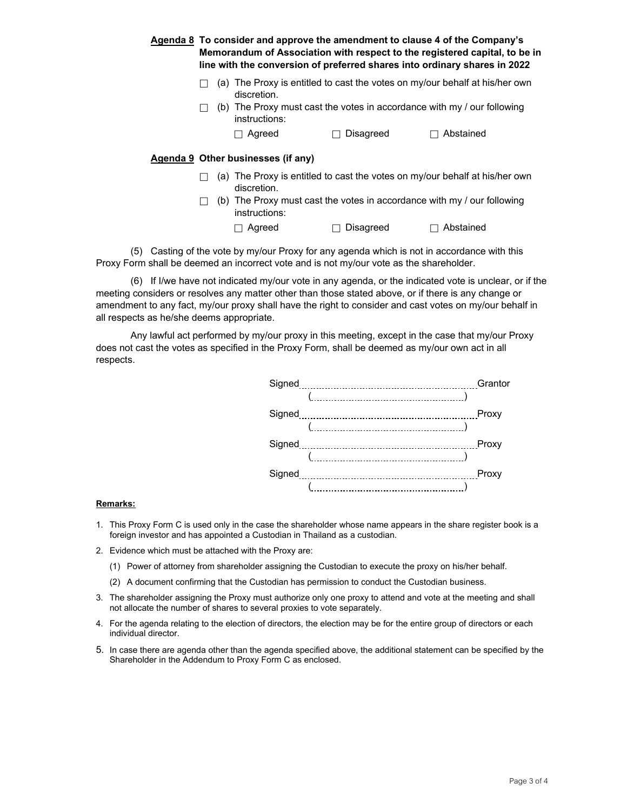|  | <b>Agenda 8</b> To consider and approve the amendment to clause 4 of the Company's<br>Memorandum of Association with respect to the registered capital, to be in<br>line with the conversion of preferred shares into ordinary shares in 2022 |           |                                                                             |  |  |
|--|-----------------------------------------------------------------------------------------------------------------------------------------------------------------------------------------------------------------------------------------------|-----------|-----------------------------------------------------------------------------|--|--|
|  | discretion.                                                                                                                                                                                                                                   |           | (a) The Proxy is entitled to cast the votes on my/our behalf at his/her own |  |  |
|  | instructions:                                                                                                                                                                                                                                 |           | (b) The Proxy must cast the votes in accordance with my / our following     |  |  |
|  | Agreed                                                                                                                                                                                                                                        | Disagreed | Abstained                                                                   |  |  |
|  | Agenda 9 Other businesses (if any)                                                                                                                                                                                                            |           |                                                                             |  |  |
|  | discretion.                                                                                                                                                                                                                                   |           | (a) The Proxy is entitled to cast the votes on my/our behalf at his/her own |  |  |
|  | instructions:                                                                                                                                                                                                                                 |           | (b) The Proxy must cast the votes in accordance with my / our following     |  |  |
|  | Agreed                                                                                                                                                                                                                                        | Disagreed | Abstained                                                                   |  |  |
|  |                                                                                                                                                                                                                                               |           |                                                                             |  |  |

 (5) Casting of the vote by my/our Proxy for any agenda which is not in accordance with this Proxy Form shall be deemed an incorrect vote and is not my/our vote as the shareholder.

 (6) If I/we have not indicated my/our vote in any agenda, or the indicated vote is unclear, or if the meeting considers or resolves any matter other than those stated above, or if there is any change or amendment to any fact, my/our proxy shall have the right to consider and cast votes on my/our behalf in all respects as he/she deems appropriate.

Any lawful act performed by my/our proxy in this meeting, except in the case that my/our Proxy does not cast the votes as specified in the Proxy Form, shall be deemed as my/our own act in all respects.

| Signed          | Grantor |
|-----------------|---------|
|                 |         |
| Proxy           |         |
|                 |         |
| Proxy           |         |
|                 |         |
| Signed<br>Proxy |         |
|                 |         |

#### **Remarks:**

- 1. This Proxy Form C is used only in the case the shareholder whose name appears in the share register book is a foreign investor and has appointed a Custodian in Thailand as a custodian.
- 2. Evidence which must be attached with the Proxy are:
	- (1) Power of attorney from shareholder assigning the Custodian to execute the proxy on his/her behalf.
	- (2) A document confirming that the Custodian has permission to conduct the Custodian business.
- 3. The shareholder assigning the Proxy must authorize only one proxy to attend and vote at the meeting and shall not allocate the number of shares to several proxies to vote separately.
- 4. For the agenda relating to the election of directors, the election may be for the entire group of directors or each individual director.
- 5. In case there are agenda other than the agenda specified above, the additional statement can be specified by the Shareholder in the Addendum to Proxy Form C as enclosed.